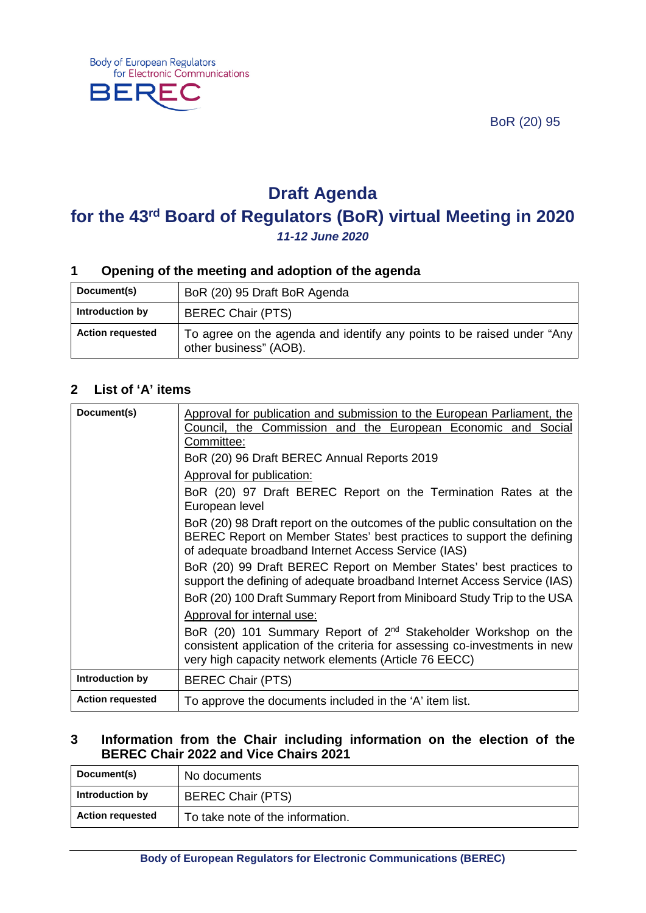BoR (20) 95



# **Draft Agenda**

## **for the 43rd Board of Regulators (BoR) virtual Meeting in 2020** *11-12 June 2020*

## **1 Opening of the meeting and adoption of the agenda**

| Document(s)             | BoR (20) 95 Draft BoR Agenda                                                                     |
|-------------------------|--------------------------------------------------------------------------------------------------|
| Introduction by         | <b>BEREC Chair (PTS)</b>                                                                         |
| <b>Action requested</b> | To agree on the agenda and identify any points to be raised under "Any<br>other business" (AOB). |

## **2 List of 'A' items**

| Document(s)             | Approval for publication and submission to the European Parliament, the<br>Council, the Commission and the European Economic and Social<br>Committee:                                                             |
|-------------------------|-------------------------------------------------------------------------------------------------------------------------------------------------------------------------------------------------------------------|
|                         | BoR (20) 96 Draft BEREC Annual Reports 2019                                                                                                                                                                       |
|                         | <b>Approval for publication:</b>                                                                                                                                                                                  |
|                         | BoR (20) 97 Draft BEREC Report on the Termination Rates at the<br>European level                                                                                                                                  |
|                         | BoR (20) 98 Draft report on the outcomes of the public consultation on the<br>BEREC Report on Member States' best practices to support the defining<br>of adequate broadband Internet Access Service (IAS)        |
|                         | BoR (20) 99 Draft BEREC Report on Member States' best practices to<br>support the defining of adequate broadband Internet Access Service (IAS)                                                                    |
|                         | BoR (20) 100 Draft Summary Report from Miniboard Study Trip to the USA                                                                                                                                            |
|                         | Approval for internal use:                                                                                                                                                                                        |
|                         | BoR (20) 101 Summary Report of 2 <sup>nd</sup> Stakeholder Workshop on the<br>consistent application of the criteria for assessing co-investments in new<br>very high capacity network elements (Article 76 EECC) |
| Introduction by         | <b>BEREC Chair (PTS)</b>                                                                                                                                                                                          |
| <b>Action requested</b> | To approve the documents included in the 'A' item list.                                                                                                                                                           |

#### **3 Information from the Chair including information on the election of the BEREC Chair 2022 and Vice Chairs 2021**

| Document(s)             | No documents                     |
|-------------------------|----------------------------------|
| Introduction by         | <b>BEREC Chair (PTS)</b>         |
| <b>Action requested</b> | To take note of the information. |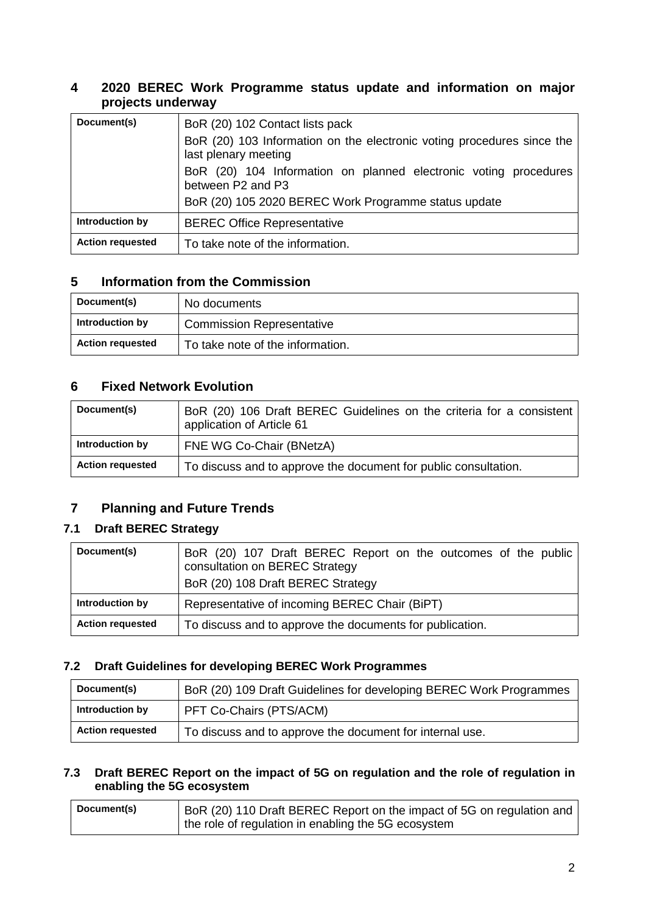## **4 2020 BEREC Work Programme status update and information on major projects underway**

| Document(s)             | BoR (20) 102 Contact lists pack                                                                |
|-------------------------|------------------------------------------------------------------------------------------------|
|                         | BoR (20) 103 Information on the electronic voting procedures since the<br>last plenary meeting |
|                         | BoR (20) 104 Information on planned electronic voting procedures<br>between P2 and P3          |
|                         | BoR (20) 105 2020 BEREC Work Programme status update                                           |
| Introduction by         | <b>BEREC Office Representative</b>                                                             |
| <b>Action requested</b> | To take note of the information.                                                               |

## **5 Information from the Commission**

| Document(s)             | No documents                     |
|-------------------------|----------------------------------|
| Introduction by         | <b>Commission Representative</b> |
| <b>Action requested</b> | To take note of the information. |

### **6 Fixed Network Evolution**

| Document(s)             | BoR (20) 106 Draft BEREC Guidelines on the criteria for a consistent<br>application of Article 61 |
|-------------------------|---------------------------------------------------------------------------------------------------|
| Introduction by         | FNE WG Co-Chair (BNetzA)                                                                          |
| <b>Action requested</b> | To discuss and to approve the document for public consultation.                                   |

## **7 Planning and Future Trends**

### **7.1 Draft BEREC Strategy**

| Document(s)             | BoR (20) 107 Draft BEREC Report on the outcomes of the public<br>consultation on BEREC Strategy<br>BoR (20) 108 Draft BEREC Strategy |
|-------------------------|--------------------------------------------------------------------------------------------------------------------------------------|
| Introduction by         | Representative of incoming BEREC Chair (BiPT)                                                                                        |
| <b>Action requested</b> | To discuss and to approve the documents for publication.                                                                             |

#### **7.2 Draft Guidelines for developing BEREC Work Programmes**

| Document(s)             | BoR (20) 109 Draft Guidelines for developing BEREC Work Programmes |
|-------------------------|--------------------------------------------------------------------|
| Introduction by         | PFT Co-Chairs (PTS/ACM)                                            |
| <b>Action requested</b> | To discuss and to approve the document for internal use.           |

#### **7.3 Draft BEREC Report on the impact of 5G on regulation and the role of regulation in enabling the 5G ecosystem**

| Document(s) | BoR (20) 110 Draft BEREC Report on the impact of 5G on regulation and |
|-------------|-----------------------------------------------------------------------|
|             | the role of regulation in enabling the 5G ecosystem                   |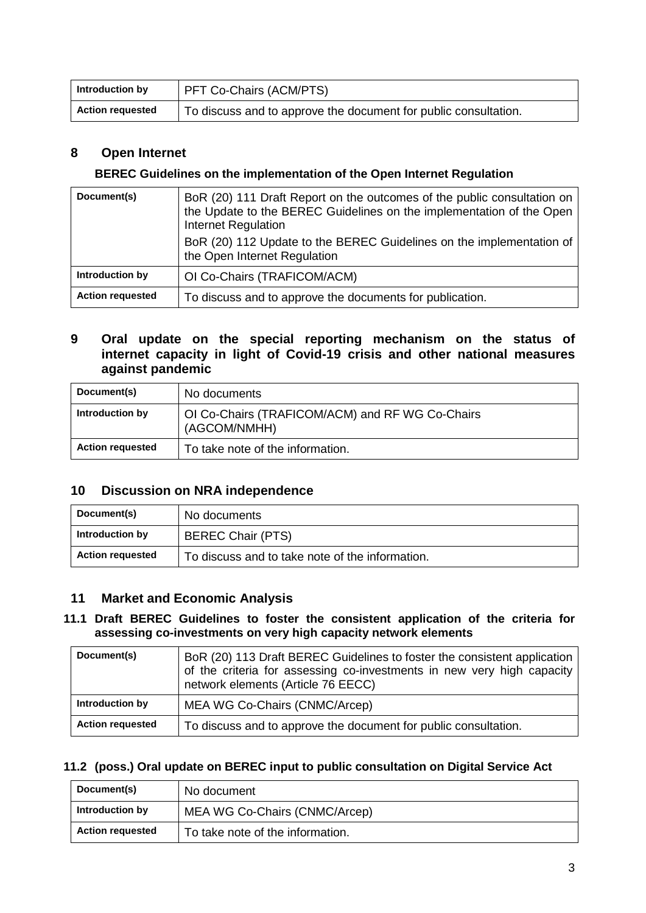| Introduction by         | <b>PFT Co-Chairs (ACM/PTS)</b>                                  |
|-------------------------|-----------------------------------------------------------------|
| <b>Action requested</b> | To discuss and to approve the document for public consultation. |

## **8 Open Internet**

#### **BEREC Guidelines on the implementation of the Open Internet Regulation**

| Document(s)             | BoR (20) 111 Draft Report on the outcomes of the public consultation on<br>the Update to the BEREC Guidelines on the implementation of the Open<br>Internet Regulation<br>BoR (20) 112 Update to the BEREC Guidelines on the implementation of<br>the Open Internet Regulation |
|-------------------------|--------------------------------------------------------------------------------------------------------------------------------------------------------------------------------------------------------------------------------------------------------------------------------|
| Introduction by         | OI Co-Chairs (TRAFICOM/ACM)                                                                                                                                                                                                                                                    |
| <b>Action requested</b> | To discuss and to approve the documents for publication.                                                                                                                                                                                                                       |

#### **9 Oral update on the special reporting mechanism on the status of internet capacity in light of Covid-19 crisis and other national measures against pandemic**

| Document(s)             | No documents                                                    |
|-------------------------|-----------------------------------------------------------------|
| Introduction by         | OI Co-Chairs (TRAFICOM/ACM) and RF WG Co-Chairs<br>(AGCOM/NMHH) |
| <b>Action requested</b> | To take note of the information.                                |

#### **10 Discussion on NRA independence**

| Document(s)             | No documents                                    |
|-------------------------|-------------------------------------------------|
| Introduction by         | <b>BEREC Chair (PTS)</b>                        |
| <b>Action requested</b> | To discuss and to take note of the information. |

#### **11 Market and Economic Analysis**

#### **11.1 Draft BEREC Guidelines to foster the consistent application of the criteria for assessing co-investments on very high capacity network elements**

| Document(s)             | BoR (20) 113 Draft BEREC Guidelines to foster the consistent application<br>of the criteria for assessing co-investments in new very high capacity<br>network elements (Article 76 EECC) |
|-------------------------|------------------------------------------------------------------------------------------------------------------------------------------------------------------------------------------|
| Introduction by         | MEA WG Co-Chairs (CNMC/Arcep)                                                                                                                                                            |
| <b>Action requested</b> | To discuss and to approve the document for public consultation.                                                                                                                          |

#### **11.2 (poss.) Oral update on BEREC input to public consultation on Digital Service Act**

| Document(s)             | No document                      |
|-------------------------|----------------------------------|
| Introduction by         | MEA WG Co-Chairs (CNMC/Arcep)    |
| <b>Action requested</b> | To take note of the information. |